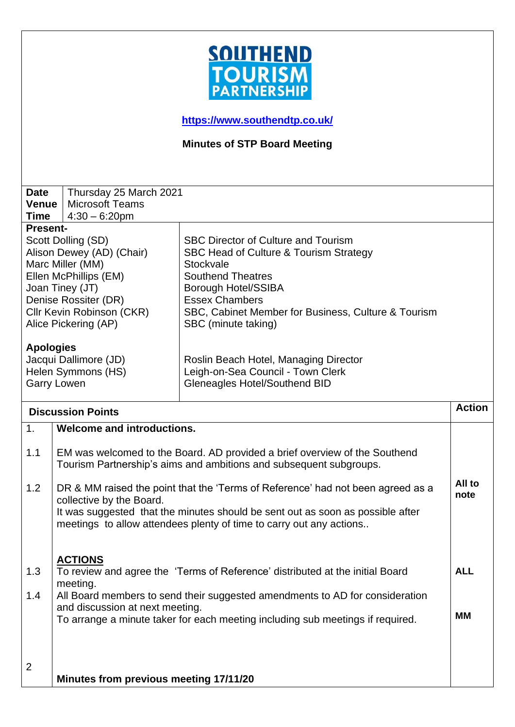

**<https://www.southendtp.co.uk/>**

**Minutes of STP Board Meeting** 

| <b>Date</b>               | Thursday 25 March 2021                                                                                                                           |                                                                               |            |
|---------------------------|--------------------------------------------------------------------------------------------------------------------------------------------------|-------------------------------------------------------------------------------|------------|
| <b>Venue</b>              | <b>Microsoft Teams</b>                                                                                                                           |                                                                               |            |
| <b>Time</b>               | $4:30 - 6:20$ pm                                                                                                                                 |                                                                               |            |
| <b>Present-</b>           |                                                                                                                                                  |                                                                               |            |
|                           | Scott Dolling (SD)                                                                                                                               | <b>SBC Director of Culture and Tourism</b>                                    |            |
| Alison Dewey (AD) (Chair) |                                                                                                                                                  | SBC Head of Culture & Tourism Strategy                                        |            |
| Marc Miller (MM)          |                                                                                                                                                  | Stockvale                                                                     |            |
|                           | Ellen McPhillips (EM)                                                                                                                            | <b>Southend Theatres</b>                                                      |            |
| Joan Tiney (JT)           |                                                                                                                                                  | <b>Borough Hotel/SSIBA</b>                                                    |            |
| Denise Rossiter (DR)      |                                                                                                                                                  | <b>Essex Chambers</b>                                                         |            |
|                           | Cllr Kevin Robinson (CKR)                                                                                                                        | SBC, Cabinet Member for Business, Culture & Tourism                           |            |
| Alice Pickering (AP)      |                                                                                                                                                  | SBC (minute taking)                                                           |            |
|                           |                                                                                                                                                  |                                                                               |            |
| <b>Apologies</b>          |                                                                                                                                                  |                                                                               |            |
| Jacqui Dallimore (JD)     |                                                                                                                                                  | Roslin Beach Hotel, Managing Director                                         |            |
| Helen Symmons (HS)        |                                                                                                                                                  | Leigh-on-Sea Council - Town Clerk                                             |            |
|                           | <b>Garry Lowen</b>                                                                                                                               | Gleneagles Hotel/Southend BID                                                 |            |
|                           |                                                                                                                                                  |                                                                               |            |
| <b>Discussion Points</b>  |                                                                                                                                                  | <b>Action</b>                                                                 |            |
| 1.                        | <b>Welcome and introductions.</b>                                                                                                                |                                                                               |            |
| 1.1                       | EM was welcomed to the Board. AD provided a brief overview of the Southend<br>Tourism Partnership's aims and ambitions and subsequent subgroups. |                                                                               |            |
|                           |                                                                                                                                                  |                                                                               | All to     |
| 1.2                       | DR & MM raised the point that the 'Terms of Reference' had not been agreed as a                                                                  |                                                                               | note       |
|                           | collective by the Board.                                                                                                                         |                                                                               |            |
|                           | It was suggested that the minutes should be sent out as soon as possible after                                                                   |                                                                               |            |
|                           |                                                                                                                                                  | meetings to allow attendees plenty of time to carry out any actions           |            |
|                           |                                                                                                                                                  |                                                                               |            |
|                           | <b>ACTIONS</b>                                                                                                                                   |                                                                               |            |
| 1.3                       |                                                                                                                                                  | To review and agree the 'Terms of Reference' distributed at the initial Board | <b>ALL</b> |
|                           |                                                                                                                                                  |                                                                               |            |
| 1.4                       | meeting.<br>All Board members to send their suggested amendments to AD for consideration                                                         |                                                                               |            |
|                           | and discussion at next meeting.                                                                                                                  |                                                                               |            |
|                           |                                                                                                                                                  |                                                                               | <b>MM</b>  |
|                           | To arrange a minute taker for each meeting including sub meetings if required.                                                                   |                                                                               |            |
|                           |                                                                                                                                                  |                                                                               |            |
|                           |                                                                                                                                                  |                                                                               |            |
| $\overline{2}$            |                                                                                                                                                  |                                                                               |            |
|                           | Minutes from previous meeting 17/11/20                                                                                                           |                                                                               |            |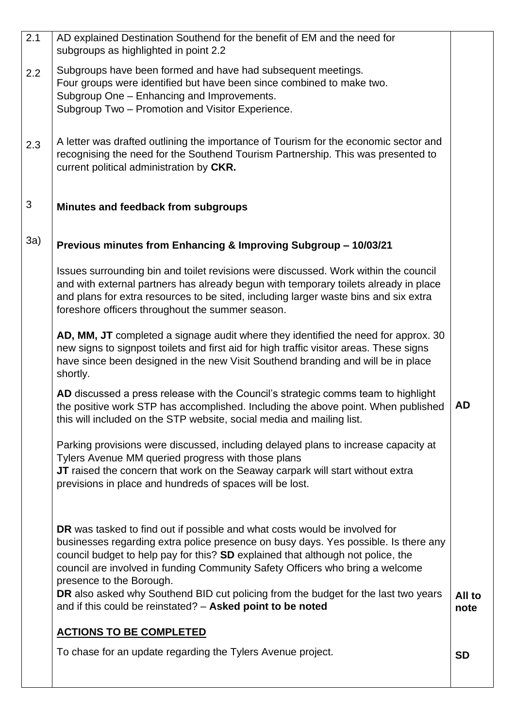| $\overline{2.1}$ | AD explained Destination Southend for the benefit of EM and the need for<br>subgroups as highlighted in point 2.2                                                                                                                                                                                                                                                 |                |
|------------------|-------------------------------------------------------------------------------------------------------------------------------------------------------------------------------------------------------------------------------------------------------------------------------------------------------------------------------------------------------------------|----------------|
| 2.2              | Subgroups have been formed and have had subsequent meetings.<br>Four groups were identified but have been since combined to make two.<br>Subgroup One - Enhancing and Improvements.<br>Subgroup Two - Promotion and Visitor Experience.                                                                                                                           |                |
| 2.3              | A letter was drafted outlining the importance of Tourism for the economic sector and<br>recognising the need for the Southend Tourism Partnership. This was presented to<br>current political administration by CKR.                                                                                                                                              |                |
| 3                | Minutes and feedback from subgroups                                                                                                                                                                                                                                                                                                                               |                |
| 3a)              | Previous minutes from Enhancing & Improving Subgroup - 10/03/21                                                                                                                                                                                                                                                                                                   |                |
|                  | Issues surrounding bin and toilet revisions were discussed. Work within the council<br>and with external partners has already begun with temporary toilets already in place<br>and plans for extra resources to be sited, including larger waste bins and six extra<br>foreshore officers throughout the summer season.                                           |                |
|                  | AD, MM, JT completed a signage audit where they identified the need for approx. 30<br>new signs to signpost toilets and first aid for high traffic visitor areas. These signs<br>have since been designed in the new Visit Southend branding and will be in place<br>shortly.                                                                                     |                |
|                  | AD discussed a press release with the Council's strategic comms team to highlight<br>the positive work STP has accomplished. Including the above point. When published<br>this will included on the STP website, social media and mailing list.                                                                                                                   | <b>AD</b>      |
|                  | Parking provisions were discussed, including delayed plans to increase capacity at<br>Tylers Avenue MM queried progress with those plans<br>JT raised the concern that work on the Seaway carpark will start without extra<br>previsions in place and hundreds of spaces will be lost.                                                                            |                |
|                  | DR was tasked to find out if possible and what costs would be involved for<br>businesses regarding extra police presence on busy days. Yes possible. Is there any<br>council budget to help pay for this? SD explained that although not police, the<br>council are involved in funding Community Safety Officers who bring a welcome<br>presence to the Borough. |                |
|                  | DR also asked why Southend BID cut policing from the budget for the last two years<br>and if this could be reinstated? - Asked point to be noted                                                                                                                                                                                                                  | All to<br>note |
|                  | <b>ACTIONS TO BE COMPLETED</b>                                                                                                                                                                                                                                                                                                                                    |                |
|                  | To chase for an update regarding the Tylers Avenue project.                                                                                                                                                                                                                                                                                                       | <b>SD</b>      |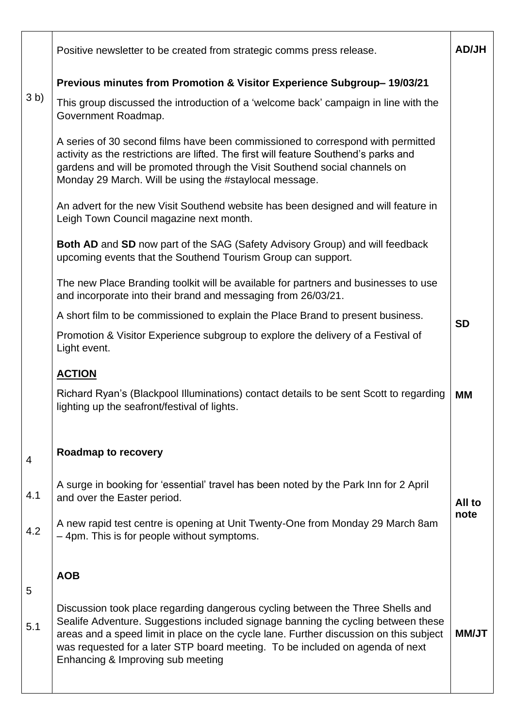|                | Positive newsletter to be created from strategic comms press release.                                                                                                                                                                                                                                                                                                               | <b>AD/JH</b> |  |
|----------------|-------------------------------------------------------------------------------------------------------------------------------------------------------------------------------------------------------------------------------------------------------------------------------------------------------------------------------------------------------------------------------------|--------------|--|
|                | Previous minutes from Promotion & Visitor Experience Subgroup-19/03/21                                                                                                                                                                                                                                                                                                              |              |  |
| 3 <sub>b</sub> | This group discussed the introduction of a 'welcome back' campaign in line with the<br>Government Roadmap.                                                                                                                                                                                                                                                                          |              |  |
|                | A series of 30 second films have been commissioned to correspond with permitted<br>activity as the restrictions are lifted. The first will feature Southend's parks and<br>gardens and will be promoted through the Visit Southend social channels on<br>Monday 29 March. Will be using the #staylocal message.                                                                     |              |  |
|                | An advert for the new Visit Southend website has been designed and will feature in<br>Leigh Town Council magazine next month.                                                                                                                                                                                                                                                       |              |  |
|                | Both AD and SD now part of the SAG (Safety Advisory Group) and will feedback<br>upcoming events that the Southend Tourism Group can support.                                                                                                                                                                                                                                        |              |  |
|                | The new Place Branding toolkit will be available for partners and businesses to use<br>and incorporate into their brand and messaging from 26/03/21.                                                                                                                                                                                                                                |              |  |
|                | A short film to be commissioned to explain the Place Brand to present business.                                                                                                                                                                                                                                                                                                     | <b>SD</b>    |  |
|                | Promotion & Visitor Experience subgroup to explore the delivery of a Festival of<br>Light event.                                                                                                                                                                                                                                                                                    |              |  |
|                | <b>ACTION</b>                                                                                                                                                                                                                                                                                                                                                                       |              |  |
|                | Richard Ryan's (Blackpool Illuminations) contact details to be sent Scott to regarding<br>lighting up the seafront/festival of lights.                                                                                                                                                                                                                                              | MМ           |  |
| 4              | <b>Roadmap to recovery</b>                                                                                                                                                                                                                                                                                                                                                          |              |  |
| 4.1            | A surge in booking for 'essential' travel has been noted by the Park Inn for 2 April<br>and over the Easter period.                                                                                                                                                                                                                                                                 | All to       |  |
| 4.2            | A new rapid test centre is opening at Unit Twenty-One from Monday 29 March 8am<br>-4pm. This is for people without symptoms.                                                                                                                                                                                                                                                        | note         |  |
| 5              | <b>AOB</b>                                                                                                                                                                                                                                                                                                                                                                          |              |  |
| 5.1            | Discussion took place regarding dangerous cycling between the Three Shells and<br>Sealife Adventure. Suggestions included signage banning the cycling between these<br>areas and a speed limit in place on the cycle lane. Further discussion on this subject<br>was requested for a later STP board meeting. To be included on agenda of next<br>Enhancing & Improving sub meeting | <b>NM/JT</b> |  |
|                |                                                                                                                                                                                                                                                                                                                                                                                     |              |  |